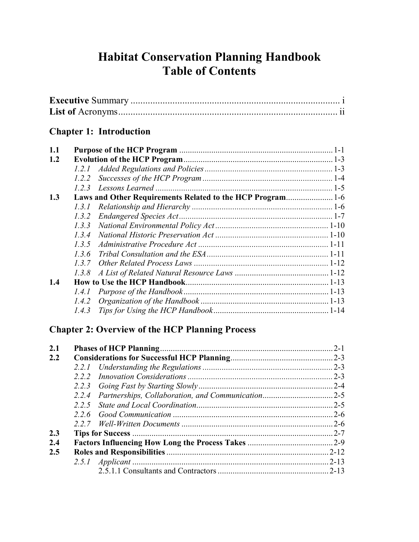# **Habitat Conservation Planning Handbook Table of Contents**

### **Chapter 1: Introduction**

| 1.1 |       |                                                            |  |
|-----|-------|------------------------------------------------------------|--|
| 1.2 |       |                                                            |  |
|     |       |                                                            |  |
|     | 1.2.2 |                                                            |  |
|     | 1.2.3 |                                                            |  |
| 1.3 |       | Laws and Other Requirements Related to the HCP Program 1-6 |  |
|     | 1.3.1 |                                                            |  |
|     | 1.3.2 |                                                            |  |
|     | 1.3.3 |                                                            |  |
|     | 1.3.4 |                                                            |  |
|     | 1.3.5 |                                                            |  |
|     | 1.3.6 |                                                            |  |
|     | 137   |                                                            |  |
|     | 1.3.8 |                                                            |  |
| 1.4 |       |                                                            |  |
|     | 1.4.1 |                                                            |  |
|     | 1.4.2 |                                                            |  |
|     | 1.4.3 |                                                            |  |

## **Chapter 2: Overview of the HCP Planning Process**

| 2.1 |       |  |
|-----|-------|--|
| 2.2 |       |  |
|     |       |  |
|     | 2.2.2 |  |
|     |       |  |
|     | 2.2.4 |  |
|     | 225   |  |
|     |       |  |
|     |       |  |
| 2.3 |       |  |
| 2.4 |       |  |
| 2.5 |       |  |
|     |       |  |
|     |       |  |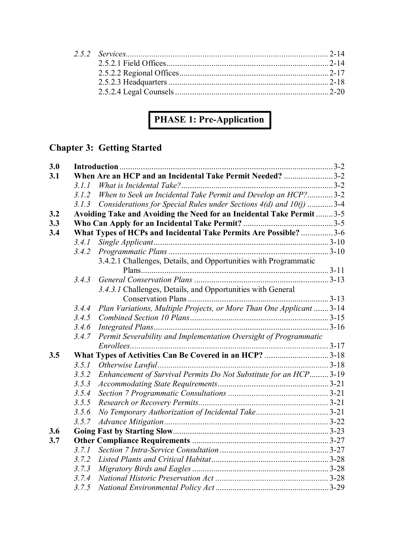# **PHASE 1: Pre-Application**

# **Chapter 3: Getting Started**

| 3.0 |       |                                                                      |  |
|-----|-------|----------------------------------------------------------------------|--|
| 3.1 |       | When Are an HCP and an Incidental Take Permit Needed? 3-2            |  |
|     | 3.1.1 |                                                                      |  |
|     | 3.1.2 | When to Seek an Incidental Take Permit and Develop an HCP?3-2        |  |
|     | 3.1.3 | Considerations for Special Rules under Sections 4(d) and 10(j) 3-4   |  |
| 3.2 |       | Avoiding Take and Avoiding the Need for an Incidental Take Permit3-5 |  |
| 3.3 |       |                                                                      |  |
| 3.4 |       | What Types of HCPs and Incidental Take Permits Are Possible?  3-6    |  |
|     | 3.4.1 |                                                                      |  |
|     | 3.4.2 |                                                                      |  |
|     |       | 3.4.2.1 Challenges, Details, and Opportunities with Programmatic     |  |
|     |       |                                                                      |  |
|     | 3.4.3 |                                                                      |  |
|     |       | 3.4.3.1 Challenges, Details, and Opportunities with General          |  |
|     |       |                                                                      |  |
|     | 3.4.4 | Plan Variations, Multiple Projects, or More Than One Applicant  3-14 |  |
|     | 3.4.5 |                                                                      |  |
|     | 3.4.6 |                                                                      |  |
|     | 3.4.7 | Permit Severability and Implementation Oversight of Programmatic     |  |
|     |       |                                                                      |  |
| 3.5 |       | What Types of Activities Can Be Covered in an HCP? 3-18              |  |
|     | 3.5.1 |                                                                      |  |
|     | 3.5.2 | Enhancement of Survival Permits Do Not Substitute for an HCP3-19     |  |
|     | 3.5.3 |                                                                      |  |
|     | 3.5.4 |                                                                      |  |
|     | 3.5.5 |                                                                      |  |
|     | 3.5.6 |                                                                      |  |
|     | 3.5.7 |                                                                      |  |
| 3.6 |       |                                                                      |  |
| 3.7 |       |                                                                      |  |
|     | 3.7.1 |                                                                      |  |
|     | 3.7.2 |                                                                      |  |
|     | 3.7.3 |                                                                      |  |
|     | 3.7.4 |                                                                      |  |
|     | 3.7.5 |                                                                      |  |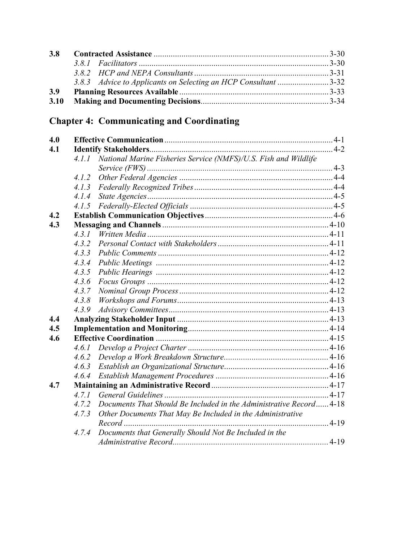| <b>3.8</b> |                                                                |  |
|------------|----------------------------------------------------------------|--|
|            |                                                                |  |
|            |                                                                |  |
|            | 3.8.3 Advice to Applicants on Selecting an HCP Consultant 3-32 |  |
| <b>3.9</b> |                                                                |  |
|            |                                                                |  |

# **Chapter 4: Communicating and Coordinating**

| 4.0 |       |                                                                    |  |
|-----|-------|--------------------------------------------------------------------|--|
| 4.1 |       |                                                                    |  |
|     | 4.1.1 | National Marine Fisheries Service (NMFS)/U.S. Fish and Wildlife    |  |
|     |       |                                                                    |  |
|     | 4.1.2 |                                                                    |  |
|     | 4.1.3 |                                                                    |  |
|     | 4.1.4 |                                                                    |  |
|     | 4.1.5 |                                                                    |  |
| 4.2 |       |                                                                    |  |
| 4.3 |       |                                                                    |  |
|     | 4.3.1 |                                                                    |  |
|     | 4.3.2 |                                                                    |  |
|     | 4.3.3 |                                                                    |  |
|     | 4.3.4 |                                                                    |  |
|     | 4.3.5 |                                                                    |  |
|     | 4.3.6 |                                                                    |  |
|     | 4.3.7 |                                                                    |  |
|     | 4.3.8 |                                                                    |  |
|     | 4.3.9 |                                                                    |  |
| 4.4 |       |                                                                    |  |
| 4.5 |       |                                                                    |  |
| 4.6 |       |                                                                    |  |
|     | 4.6.1 |                                                                    |  |
|     | 4.6.2 |                                                                    |  |
|     | 4.6.3 |                                                                    |  |
|     | 4.6.4 |                                                                    |  |
| 4.7 |       |                                                                    |  |
|     | 4.7.1 |                                                                    |  |
|     | 4.7.2 | Documents That Should Be Included in the Administrative Record4-18 |  |
|     | 4.7.3 | Other Documents That May Be Included in the Administrative         |  |
|     |       |                                                                    |  |
|     | 4.7.4 | Documents that Generally Should Not Be Included in the             |  |
|     |       |                                                                    |  |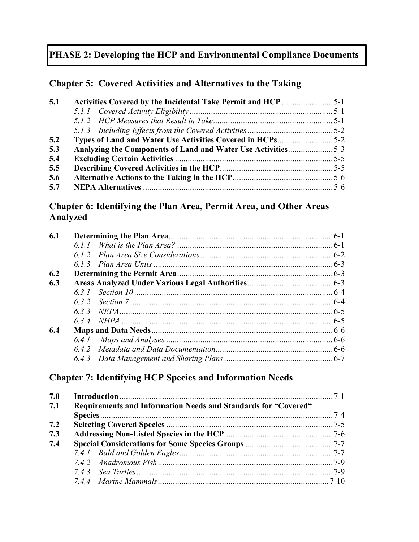## **PHASE 2: Developing the HCP and Environmental Compliance Documents**

#### **Chapter 5: Covered Activities and Alternatives to the Taking**

| Analyzing the Components of Land and Water Use Activities5-3 |
|--------------------------------------------------------------|

#### **Chapter 6: Identifying the Plan Area, Permit Area, and Other Areas Analyzed**

#### **Chapter 7: Identifying HCP Species and Information Needs**

| 7.0 |                                                                |  |
|-----|----------------------------------------------------------------|--|
| 7.1 | Requirements and Information Needs and Standards for "Covered" |  |
|     |                                                                |  |
| 7.2 |                                                                |  |
| 7.3 |                                                                |  |
| 7.4 |                                                                |  |
|     |                                                                |  |
|     |                                                                |  |
|     |                                                                |  |
|     |                                                                |  |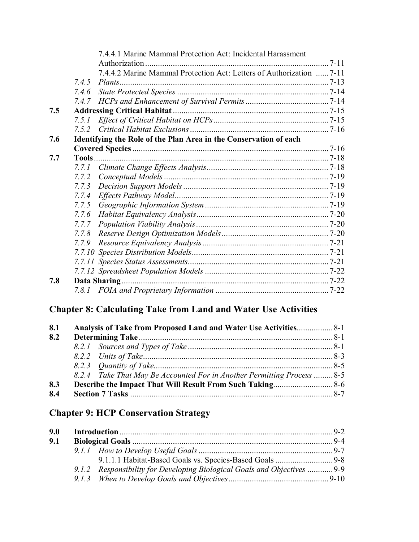|     |       | 7.4.4.1 Marine Mammal Protection Act: Incidental Harassment          |  |
|-----|-------|----------------------------------------------------------------------|--|
|     |       | 7.4.4.2 Marine Mammal Protection Act: Letters of Authorization  7-11 |  |
|     | 7.4.5 |                                                                      |  |
|     | 7.4.6 |                                                                      |  |
|     |       |                                                                      |  |
|     | 7.4.7 |                                                                      |  |
| 7.5 |       |                                                                      |  |
|     | 7.5.1 |                                                                      |  |
|     | 7.5.2 |                                                                      |  |
| 7.6 |       | Identifying the Role of the Plan Area in the Conservation of each    |  |
|     |       |                                                                      |  |
| 7.7 |       |                                                                      |  |
|     | 7.7.1 |                                                                      |  |
|     | 7.7.2 |                                                                      |  |
|     | 7.7.3 |                                                                      |  |
|     | 7.7.4 |                                                                      |  |
|     | 7.7.5 |                                                                      |  |
|     | 7.7.6 |                                                                      |  |
|     | 7.7.7 |                                                                      |  |
|     | 7.78  |                                                                      |  |
|     | 7.7.9 |                                                                      |  |
|     |       |                                                                      |  |
|     |       |                                                                      |  |
|     |       |                                                                      |  |
| 7.8 |       |                                                                      |  |
|     |       |                                                                      |  |

### **Chapter 8: Calculating Take from Land and Water Use Activities**

| 8.1 |                                                                        |  |
|-----|------------------------------------------------------------------------|--|
| 8.2 |                                                                        |  |
|     |                                                                        |  |
|     |                                                                        |  |
|     |                                                                        |  |
|     | 8.2.4 Take That May Be Accounted For in Another Permitting Process 8-5 |  |
| 8.3 |                                                                        |  |
| 8.4 |                                                                        |  |

## **Chapter 9: HCP Conservation Strategy**

| 9.0 |  |                                                                         |  |
|-----|--|-------------------------------------------------------------------------|--|
| 9.1 |  |                                                                         |  |
|     |  |                                                                         |  |
|     |  |                                                                         |  |
|     |  | 9.1.2 Responsibility for Developing Biological Goals and Objectives 9-9 |  |
|     |  |                                                                         |  |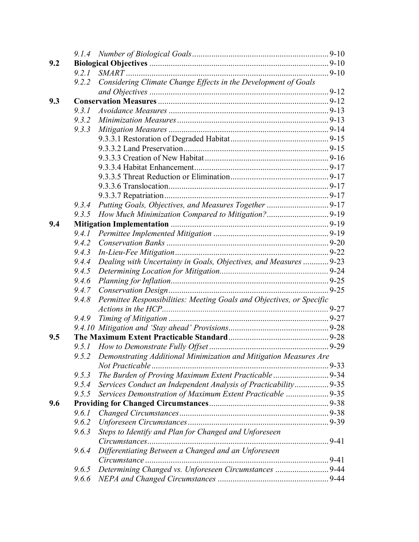|       | 9.2.1                                                                   |  |
|-------|-------------------------------------------------------------------------|--|
| 9.2.2 | Considering Climate Change Effects in the Development of Goals          |  |
|       |                                                                         |  |
|       |                                                                         |  |
| 9.3.1 |                                                                         |  |
| 9.3.2 |                                                                         |  |
| 9.3.3 |                                                                         |  |
|       |                                                                         |  |
|       |                                                                         |  |
|       |                                                                         |  |
|       |                                                                         |  |
|       |                                                                         |  |
|       |                                                                         |  |
|       |                                                                         |  |
| 9.3.4 |                                                                         |  |
| 9.3.5 |                                                                         |  |
|       |                                                                         |  |
| 9.4.1 |                                                                         |  |
| 9.4.2 |                                                                         |  |
| 9.4.3 |                                                                         |  |
| 9.4.4 | Dealing with Uncertainty in Goals, Objectives, and Measures  9-23       |  |
| 9.4.5 |                                                                         |  |
| 9.4.6 |                                                                         |  |
| 9.4.7 |                                                                         |  |
| 9.4.8 | Permittee Responsibilities: Meeting Goals and Objectives, or Specific   |  |
|       |                                                                         |  |
| 9.4.9 |                                                                         |  |
|       |                                                                         |  |
|       |                                                                         |  |
|       |                                                                         |  |
|       | 9.5.2 Demonstrating Additional Minimization and Mitigation Measures Are |  |
|       |                                                                         |  |
| 9.5.3 | The Burden of Proving Maximum Extent Practicable  9-34                  |  |
| 9.5.4 | Services Conduct an Independent Analysis of Practicability 9-35         |  |
| 9.5.5 | Services Demonstration of Maximum Extent Practicable 9-35               |  |
|       |                                                                         |  |
| 9.6.1 |                                                                         |  |
| 9.6.2 |                                                                         |  |
| 9.6.3 | Steps to Identify and Plan for Changed and Unforeseen                   |  |
|       |                                                                         |  |
| 9.6.4 | Differentiating Between a Changed and an Unforeseen                     |  |
|       |                                                                         |  |
| 9.6.5 | Determining Changed vs. Unforeseen Circumstances 9-44                   |  |
| 9.6.6 |                                                                         |  |
|       |                                                                         |  |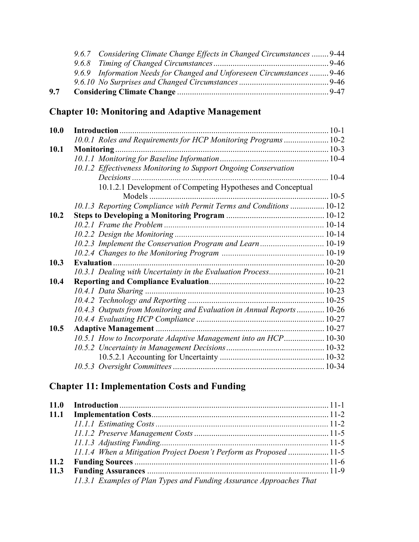| 9.7 |                                                                         |  |
|-----|-------------------------------------------------------------------------|--|
|     |                                                                         |  |
|     | 9.6.9 Information Needs for Changed and Unforeseen Circumstances  9-46  |  |
|     |                                                                         |  |
|     | 9.6.7 Considering Climate Change Effects in Changed Circumstances  9-44 |  |

## **Chapter 10: Monitoring and Adaptive Management**

| <b>10.0</b> |                                                                       |  |
|-------------|-----------------------------------------------------------------------|--|
|             | 10.0.1 Roles and Requirements for HCP Monitoring Programs  10-2       |  |
| 10.1        |                                                                       |  |
|             |                                                                       |  |
|             | 10.1.2 Effectiveness Monitoring to Support Ongoing Conservation       |  |
|             |                                                                       |  |
|             | 10.1.2.1 Development of Competing Hypotheses and Conceptual           |  |
|             |                                                                       |  |
|             | 10.1.3 Reporting Compliance with Permit Terms and Conditions  10-12   |  |
| 10.2        |                                                                       |  |
|             |                                                                       |  |
|             |                                                                       |  |
|             | 10.2.3 Implement the Conservation Program and Learn  10-19            |  |
|             |                                                                       |  |
| 10.3        |                                                                       |  |
|             | 10.3.1 Dealing with Uncertainty in the Evaluation Process 10-21       |  |
| 10.4        |                                                                       |  |
|             |                                                                       |  |
|             |                                                                       |  |
|             | 10.4.3 Outputs from Monitoring and Evaluation in Annual Reports 10-26 |  |
|             |                                                                       |  |
| 10.5        |                                                                       |  |
|             | 10.5.1 How to Incorporate Adaptive Management into an HCP 10-30       |  |
|             |                                                                       |  |
|             |                                                                       |  |
|             |                                                                       |  |

## **Chapter 11: Implementation Costs and Funding**

|      | 11.1.4 When a Mitigation Project Doesn't Perform as Proposed  11-5  |  |
|------|---------------------------------------------------------------------|--|
| 11.2 |                                                                     |  |
| 11.3 |                                                                     |  |
|      | 11.3.1 Examples of Plan Types and Funding Assurance Approaches That |  |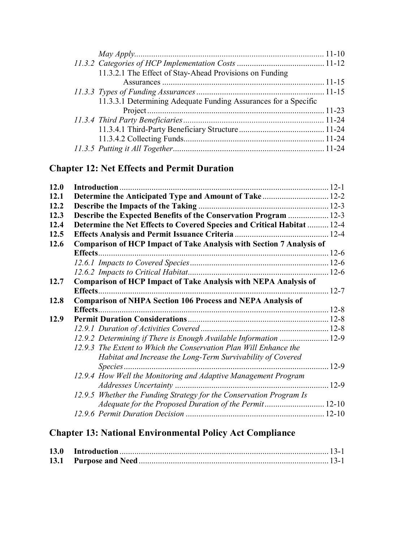| 11.3.2.1 The Effect of Stay-Ahead Provisions on Funding         |  |
|-----------------------------------------------------------------|--|
|                                                                 |  |
|                                                                 |  |
| 11.3.3.1 Determining Adequate Funding Assurances for a Specific |  |
|                                                                 |  |
|                                                                 |  |
|                                                                 |  |
|                                                                 |  |
|                                                                 |  |

## **Chapter 12: Net Effects and Permit Duration**

| 12.0 |                                                                             |  |
|------|-----------------------------------------------------------------------------|--|
| 12.1 | Determine the Anticipated Type and Amount of Take 12-2                      |  |
| 12.2 |                                                                             |  |
| 12.3 | Describe the Expected Benefits of the Conservation Program  12-3            |  |
| 12.4 | Determine the Net Effects to Covered Species and Critical Habitat  12-4     |  |
| 12.5 |                                                                             |  |
| 12.6 | <b>Comparison of HCP Impact of Take Analysis with Section 7 Analysis of</b> |  |
|      |                                                                             |  |
|      |                                                                             |  |
|      |                                                                             |  |
| 12.7 | <b>Comparison of HCP Impact of Take Analysis with NEPA Analysis of</b>      |  |
|      |                                                                             |  |
| 12.8 | <b>Comparison of NHPA Section 106 Process and NEPA Analysis of</b>          |  |
|      |                                                                             |  |
| 12.9 |                                                                             |  |
|      |                                                                             |  |
|      | 12.9.2 Determining if There is Enough Available Information  12-9           |  |
|      | 12.9.3 The Extent to Which the Conservation Plan Will Enhance the           |  |
|      | Habitat and Increase the Long-Term Survivability of Covered                 |  |
|      |                                                                             |  |
|      | 12.9.4 How Well the Monitoring and Adaptive Management Program              |  |
|      |                                                                             |  |
|      | 12.9.5 Whether the Funding Strategy for the Conservation Program Is         |  |
|      | Adequate for the Proposed Duration of the Permit 12-10                      |  |
|      |                                                                             |  |
|      |                                                                             |  |

## **Chapter 13: National Environmental Policy Act Compliance**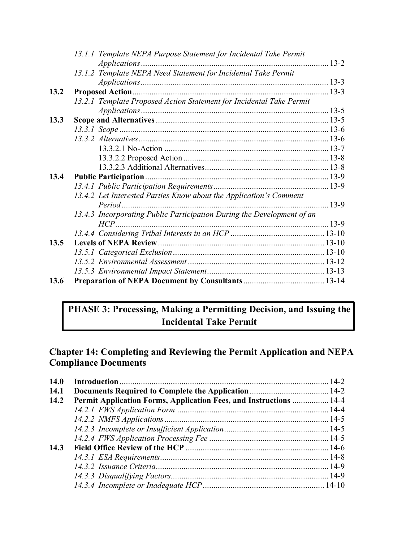|      | 13.1.1 Template NEPA Purpose Statement for Incidental Take Permit      |  |
|------|------------------------------------------------------------------------|--|
|      |                                                                        |  |
|      | 13.1.2 Template NEPA Need Statement for Incidental Take Permit         |  |
|      |                                                                        |  |
| 13.2 |                                                                        |  |
|      | 13.2.1 Template Proposed Action Statement for Incidental Take Permit   |  |
|      |                                                                        |  |
| 13.3 |                                                                        |  |
|      |                                                                        |  |
|      |                                                                        |  |
|      |                                                                        |  |
|      |                                                                        |  |
|      |                                                                        |  |
| 13.4 |                                                                        |  |
|      |                                                                        |  |
|      | 13.4.2 Let Interested Parties Know about the Application's Comment     |  |
|      |                                                                        |  |
|      | 13.4.3 Incorporating Public Participation During the Development of an |  |
|      |                                                                        |  |
|      |                                                                        |  |
| 13.5 |                                                                        |  |
|      |                                                                        |  |
|      |                                                                        |  |
|      |                                                                        |  |
| 13.6 |                                                                        |  |

### **PHASE 3: Processing, Making a Permitting Decision, and Issuing the Incidental Take Permit**

#### **Chapter 14: Completing and Reviewing the Permit Application and NEPA Compliance Documents**

| <b>14.0</b> |                                                                           |  |
|-------------|---------------------------------------------------------------------------|--|
| 14.1        |                                                                           |  |
| 14.2        | <b>Permit Application Forms, Application Fees, and Instructions  14-4</b> |  |
|             |                                                                           |  |
|             |                                                                           |  |
|             |                                                                           |  |
|             |                                                                           |  |
| 14.3        |                                                                           |  |
|             |                                                                           |  |
|             |                                                                           |  |
|             |                                                                           |  |
|             |                                                                           |  |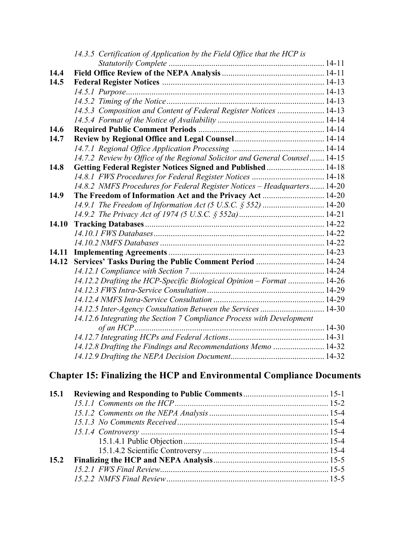|       | 14.3.5 Certification of Application by the Field Office that the HCP is     |  |
|-------|-----------------------------------------------------------------------------|--|
|       |                                                                             |  |
| 14.4  |                                                                             |  |
| 14.5  |                                                                             |  |
|       |                                                                             |  |
|       |                                                                             |  |
|       | 14.5.3 Composition and Content of Federal Register Notices  14-13           |  |
|       |                                                                             |  |
| 14.6  |                                                                             |  |
| 14.7  |                                                                             |  |
|       |                                                                             |  |
|       | 14.7.2 Review by Office of the Regional Solicitor and General Counsel 14-15 |  |
| 14.8  | Getting Federal Register Notices Signed and Published  14-18                |  |
|       |                                                                             |  |
|       | 14.8.2 NMFS Procedures for Federal Register Notices - Headquarters 14-20    |  |
| 14.9  | The Freedom of Information Act and the Privacy Act  14-20                   |  |
|       | 14.9.1 The Freedom of Information Act (5 U.S.C. $\S 552$ )  14-20           |  |
|       |                                                                             |  |
| 14.10 |                                                                             |  |
|       |                                                                             |  |
|       |                                                                             |  |
| 14.11 |                                                                             |  |
| 14.12 | Services' Tasks During the Public Comment Period  14-24                     |  |
|       |                                                                             |  |
|       | 14.12.2 Drafting the HCP-Specific Biological Opinion - Format  14-26        |  |
|       |                                                                             |  |
|       |                                                                             |  |
|       | 14.12.5 Inter-Agency Consultation Between the Services  14-30               |  |
|       | 14.12.6 Integrating the Section 7 Compliance Process with Development       |  |
|       |                                                                             |  |
|       |                                                                             |  |
|       | 14.12.8 Drafting the Findings and Recommendations Memo  14-32               |  |
|       |                                                                             |  |

## **Chapter 15: Finalizing the HCP and Environmental Compliance Documents**

| 15.1 |  |
|------|--|
|      |  |
|      |  |
|      |  |
|      |  |
|      |  |
|      |  |
| 15.2 |  |
|      |  |
|      |  |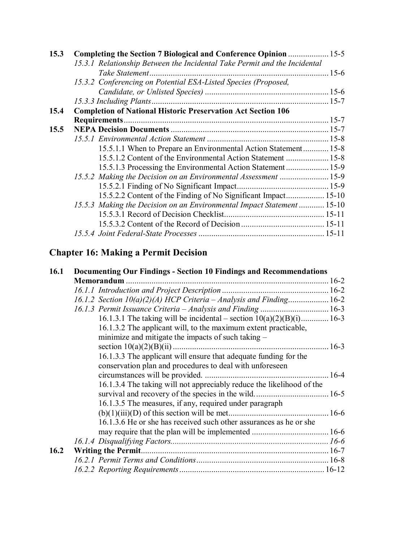| 15.3 | Completing the Section 7 Biological and Conference Opinion  15-5          |  |
|------|---------------------------------------------------------------------------|--|
|      | 15.3.1 Relationship Between the Incidental Take Permit and the Incidental |  |
|      |                                                                           |  |
|      | 15.3.2 Conferencing on Potential ESA-Listed Species (Proposed,            |  |
|      |                                                                           |  |
|      |                                                                           |  |
| 15.4 | <b>Completion of National Historic Preservation Act Section 106</b>       |  |
|      |                                                                           |  |
| 15.5 |                                                                           |  |
|      |                                                                           |  |
|      | 15.5.1.1 When to Prepare an Environmental Action Statement 15-8           |  |
|      | 15.5.1.2 Content of the Environmental Action Statement  15-8              |  |
|      | 15.5.1.3 Processing the Environmental Action Statement 15-9               |  |
|      | 15.5.2 Making the Decision on an Environmental Assessment  15-9           |  |
|      |                                                                           |  |
|      | 15.5.2.2 Content of the Finding of No Significant Impact 15-10            |  |
|      | 15.5.3 Making the Decision on an Environmental Impact Statement 15-10     |  |
|      |                                                                           |  |
|      |                                                                           |  |
|      |                                                                           |  |

# **Chapter 16: Making a Permit Decision**

| 16.1 | Documenting Our Findings - Section 10 Findings and Recommendations     |  |
|------|------------------------------------------------------------------------|--|
|      | Memorandum.                                                            |  |
|      |                                                                        |  |
|      | 16.1.2 Section $10(a)(2)(A)$ HCP Criteria – Analysis and Finding 16-2  |  |
|      |                                                                        |  |
|      | 16.1.3.1 The taking will be incidental – section $10(a)(2)(B)(i)$ 16-3 |  |
|      | 16.1.3.2 The applicant will, to the maximum extent practicable,        |  |
|      | minimize and mitigate the impacts of such taking $-$                   |  |
|      |                                                                        |  |
|      | 16.1.3.3 The applicant will ensure that adequate funding for the       |  |
|      | conservation plan and procedures to deal with unforeseen               |  |
|      |                                                                        |  |
|      | 16.1.3.4 The taking will not appreciably reduce the likelihood of the  |  |
|      |                                                                        |  |
|      | 16.1.3.5 The measures, if any, required under paragraph                |  |
|      |                                                                        |  |
|      | 16.1.3.6 He or she has received such other assurances as he or she     |  |
|      |                                                                        |  |
|      |                                                                        |  |
| 16.2 |                                                                        |  |
|      |                                                                        |  |
|      |                                                                        |  |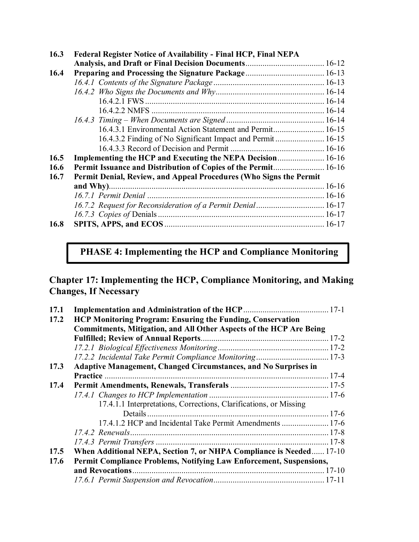| 16.3 | Federal Register Notice of Availability - Final HCP, Final NEPA       |                                                                    |  |
|------|-----------------------------------------------------------------------|--------------------------------------------------------------------|--|
|      |                                                                       |                                                                    |  |
| 16.4 |                                                                       |                                                                    |  |
|      |                                                                       |                                                                    |  |
|      |                                                                       |                                                                    |  |
|      |                                                                       |                                                                    |  |
|      |                                                                       |                                                                    |  |
|      |                                                                       |                                                                    |  |
|      | 16.4.3.1 Environmental Action Statement and Permit 16-15              |                                                                    |  |
|      | 16.4.3.2 Finding of No Significant Impact and Permit 16-15            |                                                                    |  |
|      |                                                                       |                                                                    |  |
| 16.5 | Implementing the HCP and Executing the NEPA Decision 16-16            |                                                                    |  |
| 16.6 | <b>Permit Issuance and Distribution of Copies of the Permit 16-16</b> |                                                                    |  |
| 16.7 |                                                                       | Permit Denial, Review, and Appeal Procedures (Who Signs the Permit |  |
|      |                                                                       |                                                                    |  |
|      |                                                                       |                                                                    |  |
|      | 16.7.2 Request for Reconsideration of a Permit Denial 16-17           |                                                                    |  |
|      |                                                                       |                                                                    |  |
| 16.8 |                                                                       |                                                                    |  |

**PHASE 4: Implementing the HCP and Compliance Monitoring**

**Chapter 17: Implementing the HCP, Compliance Monitoring, and Making Changes, If Necessary**

| 17.1 |                                                                            |  |
|------|----------------------------------------------------------------------------|--|
| 17.2 | <b>HCP Monitoring Program: Ensuring the Funding, Conservation</b>          |  |
|      | <b>Commitments, Mitigation, and All Other Aspects of the HCP Are Being</b> |  |
|      |                                                                            |  |
|      |                                                                            |  |
|      | 17.2.2 Incidental Take Permit Compliance Monitoring 17-3                   |  |
| 17.3 | Adaptive Management, Changed Circumstances, and No Surprises in            |  |
|      |                                                                            |  |
| 17.4 |                                                                            |  |
|      |                                                                            |  |
|      | 17.4.1.1 Interpretations, Corrections, Clarifications, or Missing          |  |
|      |                                                                            |  |
|      | 17.4.1.2 HCP and Incidental Take Permit Amendments  17-6                   |  |
|      |                                                                            |  |
|      |                                                                            |  |
| 17.5 | When Additional NEPA, Section 7, or NHPA Compliance is Needed 17-10        |  |
| 17.6 | Permit Compliance Problems, Notifying Law Enforcement, Suspensions,        |  |
|      | and Revocations                                                            |  |
|      |                                                                            |  |